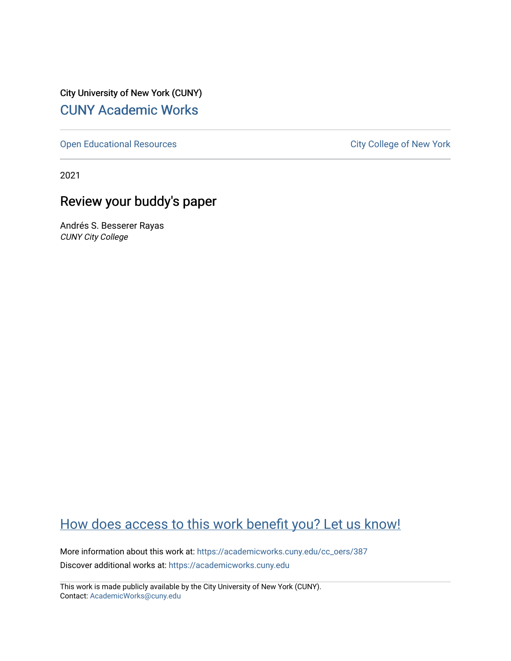City University of New York (CUNY) [CUNY Academic Works](https://academicworks.cuny.edu/) 

[Open Educational Resources](https://academicworks.cuny.edu/cc_oers) **City College of New York** City College of New York

2021

# Review your buddy's paper

Andrés S. Besserer Rayas CUNY City College

# [How does access to this work benefit you? Let us know!](http://ols.cuny.edu/academicworks/?ref=https://academicworks.cuny.edu/cc_oers/387)

More information about this work at: [https://academicworks.cuny.edu/cc\\_oers/387](https://academicworks.cuny.edu/cc_oers/387)  Discover additional works at: [https://academicworks.cuny.edu](https://academicworks.cuny.edu/?)

This work is made publicly available by the City University of New York (CUNY). Contact: [AcademicWorks@cuny.edu](mailto:AcademicWorks@cuny.edu)